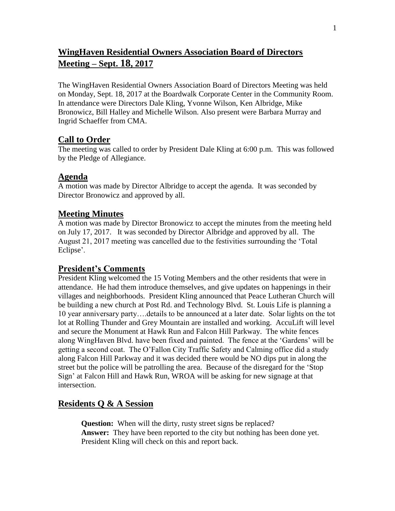## **WingHaven Residential Owners Association Board of Directors Meeting – Sept. 18, 2017**

The WingHaven Residential Owners Association Board of Directors Meeting was held on Monday, Sept. 18, 2017 at the Boardwalk Corporate Center in the Community Room. In attendance were Directors Dale Kling, Yvonne Wilson, Ken Albridge, Mike Bronowicz, Bill Halley and Michelle Wilson. Also present were Barbara Murray and Ingrid Schaeffer from CMA.

#### **Call to Order**

The meeting was called to order by President Dale Kling at 6:00 p.m. This was followed by the Pledge of Allegiance.

## **Agenda**

A motion was made by Director Albridge to accept the agenda. It was seconded by Director Bronowicz and approved by all.

## **Meeting Minutes**

A motion was made by Director Bronowicz to accept the minutes from the meeting held on July 17, 2017. It was seconded by Director Albridge and approved by all. The August 21, 2017 meeting was cancelled due to the festivities surrounding the 'Total Eclipse'.

#### **President's Comments**

President Kling welcomed the 15 Voting Members and the other residents that were in attendance. He had them introduce themselves, and give updates on happenings in their villages and neighborhoods. President Kling announced that Peace Lutheran Church will be building a new church at Post Rd. and Technology Blvd. St. Louis Life is planning a 10 year anniversary party….details to be announced at a later date. Solar lights on the tot lot at Rolling Thunder and Grey Mountain are installed and working. AccuLift will level and secure the Monument at Hawk Run and Falcon Hill Parkway. The white fences along WingHaven Blvd. have been fixed and painted. The fence at the 'Gardens' will be getting a second coat. The O'Fallon City Traffic Safety and Calming office did a study along Falcon Hill Parkway and it was decided there would be NO dips put in along the street but the police will be patrolling the area. Because of the disregard for the 'Stop Sign' at Falcon Hill and Hawk Run, WROA will be asking for new signage at that intersection.

## **Residents Q & A Session**

**Question:** When will the dirty, rusty street signs be replaced? **Answer:** They have been reported to the city but nothing has been done yet. President Kling will check on this and report back.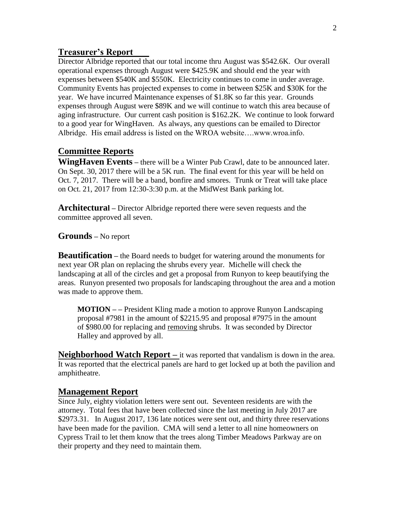#### **Treasurer's Report**

Director Albridge reported that our total income thru August was \$542.6K. Our overall operational expenses through August were \$425.9K and should end the year with expenses between \$540K and \$550K. Electricity continues to come in under average. Community Events has projected expenses to come in between \$25K and \$30K for the year. We have incurred Maintenance expenses of \$1.8K so far this year. Grounds expenses through August were \$89K and we will continue to watch this area because of aging infrastructure. Our current cash position is \$162.2K. We continue to look forward to a good year for WingHaven. As always, any questions can be emailed to Director Albridge. His email address is listed on the WROA website….www.wroa.info.

#### **Committee Reports**

**WingHaven Events –** there will be a Winter Pub Crawl, date to be announced later. On Sept. 30, 2017 there will be a 5K run. The final event for this year will be held on Oct. 7, 2017. There will be a band, bonfire and smores. Trunk or Treat will take place on Oct. 21, 2017 from 12:30-3:30 p.m. at the MidWest Bank parking lot.

**Architectural –** Director Albridge reported there were seven requests and the committee approved all seven.

**Grounds –** No report

**Beautification –** the Board needs to budget for watering around the monuments for next year OR plan on replacing the shrubs every year. Michelle will check the landscaping at all of the circles and get a proposal from Runyon to keep beautifying the areas. Runyon presented two proposals for landscaping throughout the area and a motion was made to approve them.

 **MOTION – –** President Kling made a motion to approve Runyon Landscaping proposal #7981 in the amount of \$2215.95 and proposal #7975 in the amount of \$980.00 for replacing and removing shrubs. It was seconded by Director Halley and approved by all.

**Neighborhood Watch Report** – it was reported that vandalism is down in the area. It was reported that the electrical panels are hard to get locked up at both the pavilion and amphitheatre.

#### **Management Report**

Since July, eighty violation letters were sent out. Seventeen residents are with the attorney. Total fees that have been collected since the last meeting in July 2017 are \$2973.31. In August 2017, 136 late notices were sent out, and thirty three reservations have been made for the pavilion. CMA will send a letter to all nine homeowners on Cypress Trail to let them know that the trees along Timber Meadows Parkway are on their property and they need to maintain them.